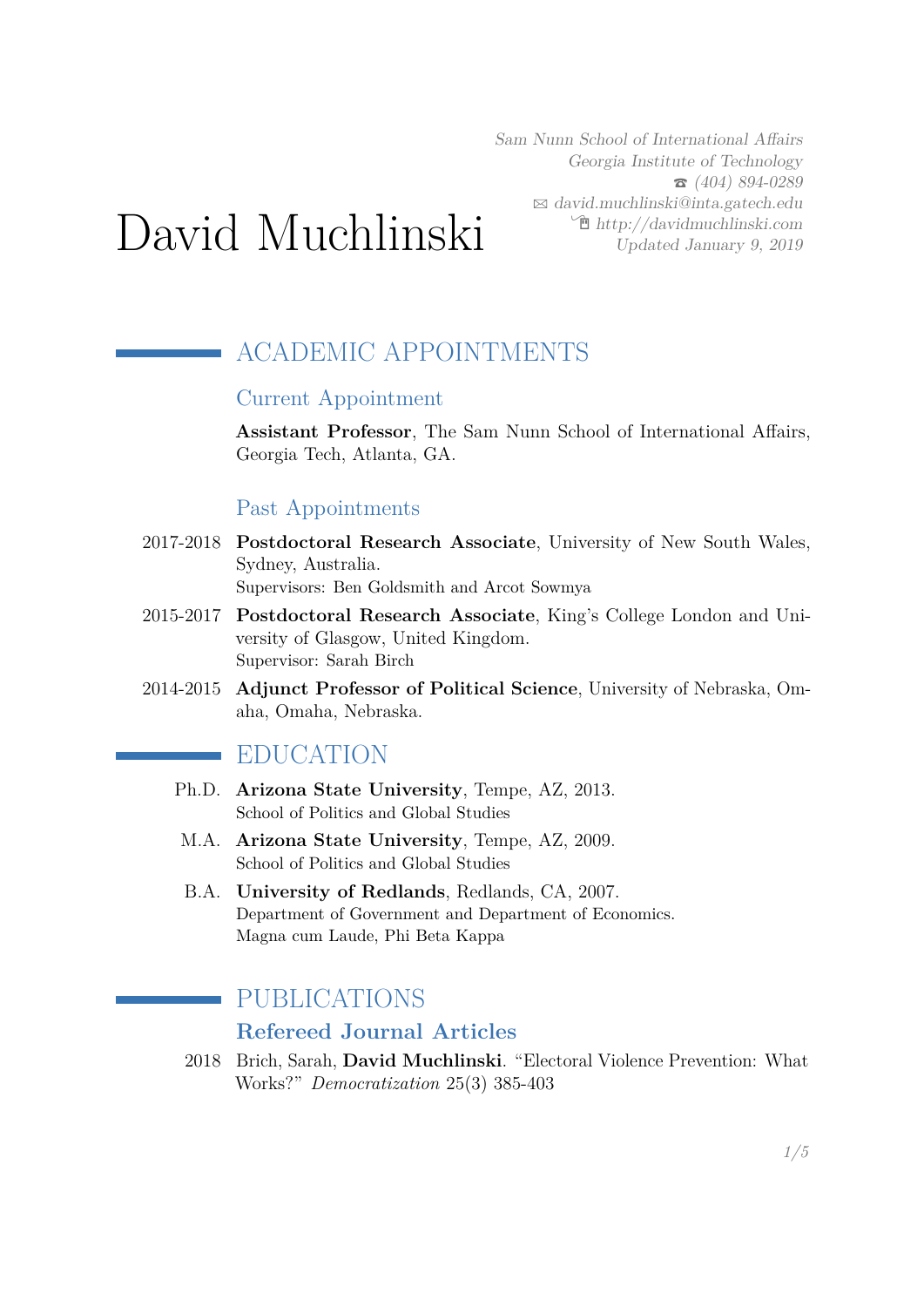Sam Nunn School of International Affairs Georgia Institute of Technology  $\bullet$  (404) 894-0289  $\boxtimes$  [david.muchlinski@inta.gatech.edu](mailto:david.muchlinski@inta.gatech.edu)  $\hat{\mathbb{E}}$  [http://davidmuchlinski.com](http://http://davidmuchlinski.com) Updated January 9, 2019

# David Muchlinski

# ACADEMIC APPOINTMENTS

#### Current Appointment

**Assistant Professor**, The Sam Nunn School of International Affairs, Georgia Tech, Atlanta, GA.

#### Past Appointments

2017-2018 **Postdoctoral Research Associate**, University of New South Wales, Sydney, Australia.

Supervisors: Ben Goldsmith and Arcot Sowmya

- 2015-2017 **Postdoctoral Research Associate**, King's College London and University of Glasgow, United Kingdom. Supervisor: Sarah Birch
- 2014-2015 **Adjunct Professor of Political Science**, University of Nebraska, Omaha, Omaha, Nebraska.

## EDUCATION

- Ph.D. **Arizona State University**, Tempe, AZ, 2013. School of Politics and Global Studies
- M.A. **Arizona State University**, Tempe, AZ, 2009. School of Politics and Global Studies
- B.A. **University of Redlands**, Redlands, CA, 2007. Department of Government and Department of Economics. Magna cum Laude, Phi Beta Kappa

## PUBLICATIONS

### **Refereed Journal Articles**

2018 Brich, Sarah, **David Muchlinski**. "Electoral Violence Prevention: What Works?" *Democratization* 25(3) 385-403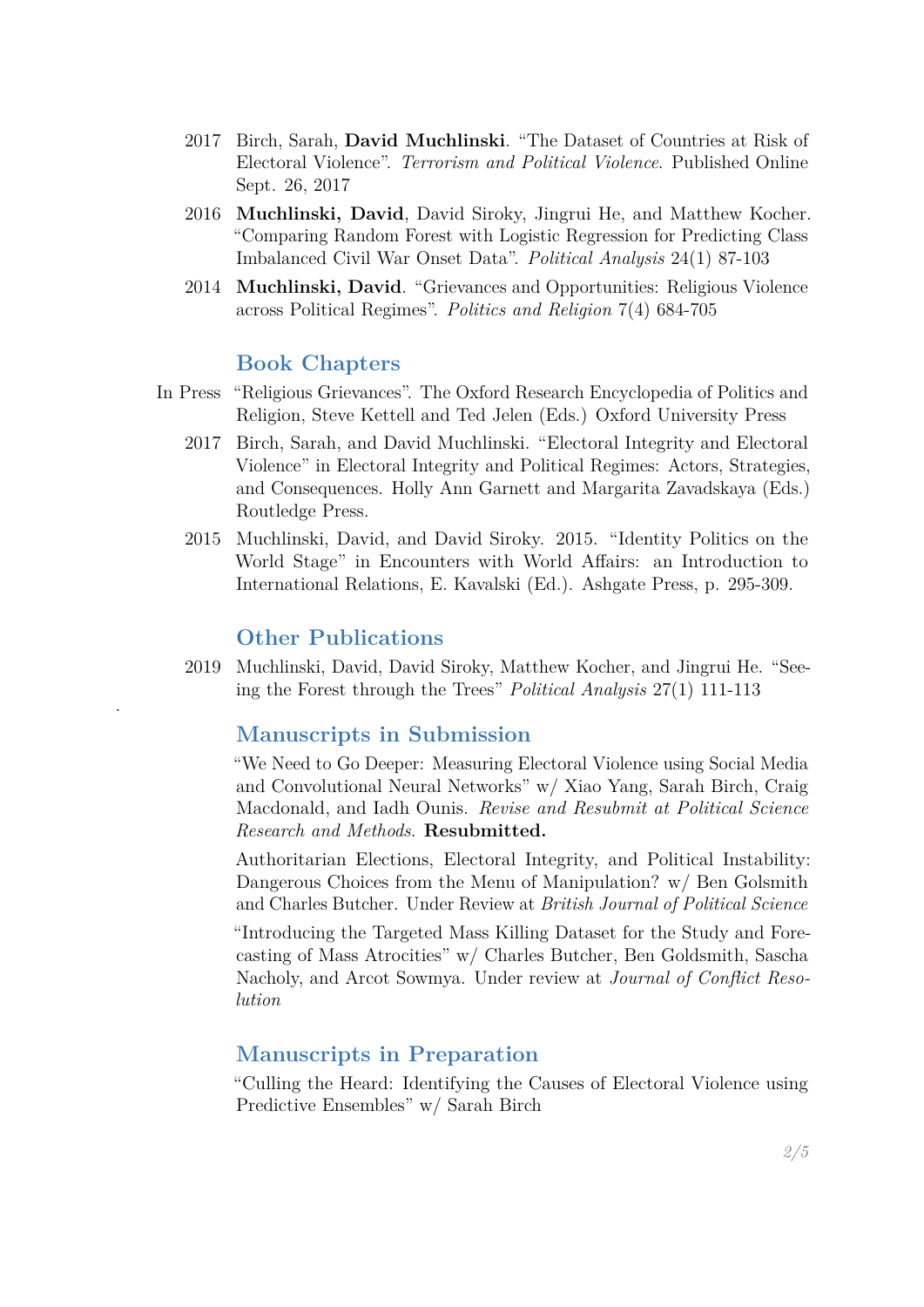- 2017 Birch, Sarah, **David Muchlinski**. "The Dataset of Countries at Risk of Electoral Violence". *Terrorism and Political Violence*. Published Online Sept. 26, 2017
- 2016 **Muchlinski, David**, David Siroky, Jingrui He, and Matthew Kocher. "Comparing Random Forest with Logistic Regression for Predicting Class Imbalanced Civil War Onset Data". *Political Analysis* 24(1) 87-103
- 2014 **Muchlinski, David**. "Grievances and Opportunities: Religious Violence across Political Regimes". *Politics and Religion* 7(4) 684-705

#### **Book Chapters**

- In Press "Religious Grievances". The Oxford Research Encyclopedia of Politics and Religion, Steve Kettell and Ted Jelen (Eds.) Oxford University Press
	- 2017 Birch, Sarah, and David Muchlinski. "Electoral Integrity and Electoral Violence" in Electoral Integrity and Political Regimes: Actors, Strategies, and Consequences. Holly Ann Garnett and Margarita Zavadskaya (Eds.) Routledge Press.
	- 2015 Muchlinski, David, and David Siroky. 2015. "Identity Politics on the World Stage" in Encounters with World Affairs: an Introduction to International Relations, E. Kavalski (Ed.). Ashgate Press, p. 295-309.

#### **Other Publications**

.

2019 Muchlinski, David, David Siroky, Matthew Kocher, and Jingrui He. "Seeing the Forest through the Trees" *Political Analysis* 27(1) 111-113

#### **Manuscripts in Submission**

"We Need to Go Deeper: Measuring Electoral Violence using Social Media and Convolutional Neural Networks" w/ Xiao Yang, Sarah Birch, Craig Macdonald, and Iadh Ounis. *Revise and Resubmit at Political Science Research and Methods*. **Resubmitted.**

Authoritarian Elections, Electoral Integrity, and Political Instability: Dangerous Choices from the Menu of Manipulation? w/ Ben Golsmith and Charles Butcher. Under Review at *British Journal of Political Science*

"Introducing the Targeted Mass Killing Dataset for the Study and Forecasting of Mass Atrocities" w/ Charles Butcher, Ben Goldsmith, Sascha Nacholy, and Arcot Sowmya. Under review at *Journal of Conflict Resolution*

#### **Manuscripts in Preparation**

"Culling the Heard: Identifying the Causes of Electoral Violence using Predictive Ensembles" w/ Sarah Birch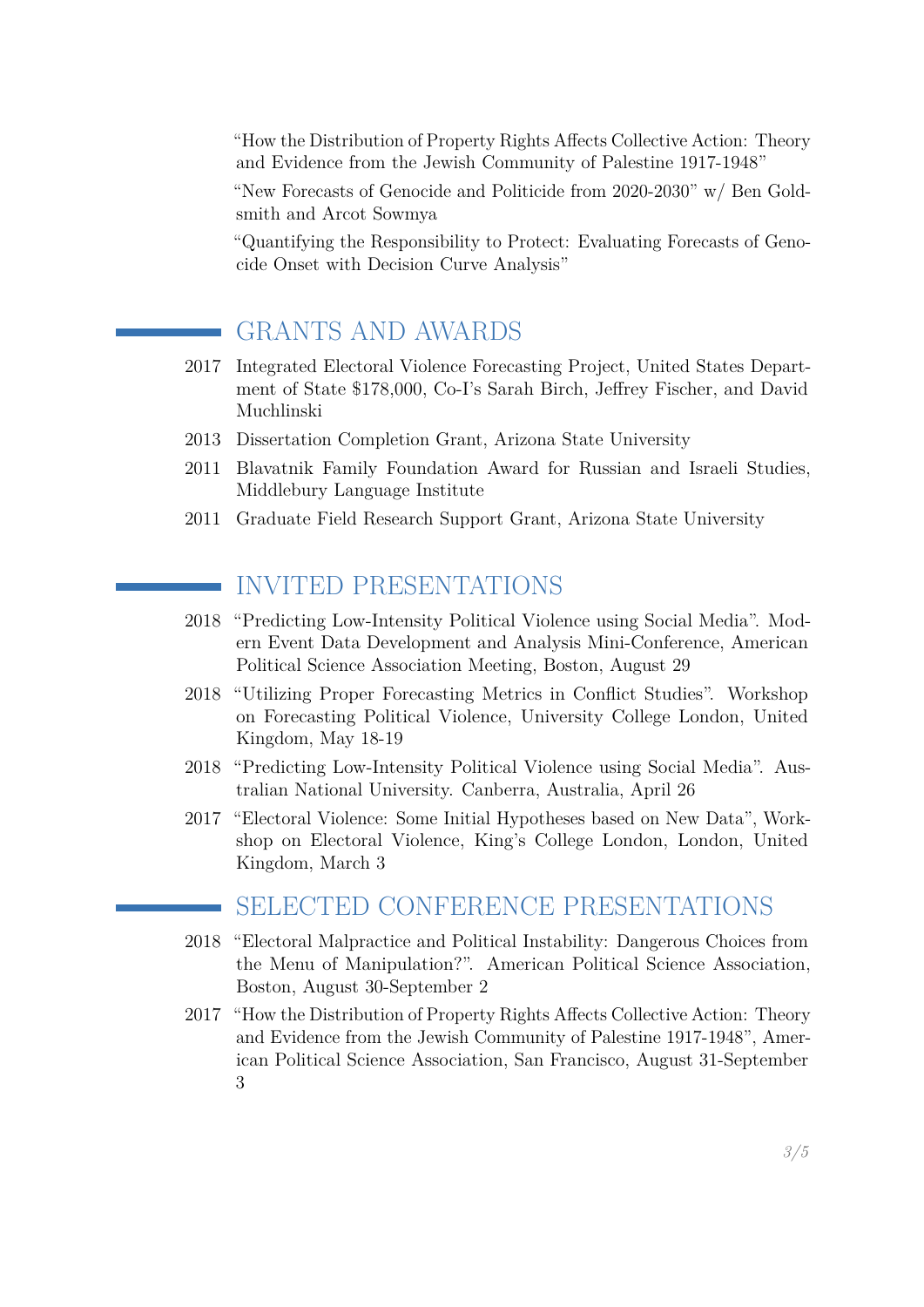"How the Distribution of Property Rights Affects Collective Action: Theory and Evidence from the Jewish Community of Palestine 1917-1948"

"New Forecasts of Genocide and Politicide from 2020-2030" w/ Ben Goldsmith and Arcot Sowmya

"Quantifying the Responsibility to Protect: Evaluating Forecasts of Genocide Onset with Decision Curve Analysis"

# GRANTS AND AWARDS

- 2017 Integrated Electoral Violence Forecasting Project, United States Department of State \$178,000, Co-I's Sarah Birch, Jeffrey Fischer, and David Muchlinski
- 2013 Dissertation Completion Grant, Arizona State University
- 2011 Blavatnik Family Foundation Award for Russian and Israeli Studies, Middlebury Language Institute
- 2011 Graduate Field Research Support Grant, Arizona State University

# INVITED PRESENTATIONS

- 2018 "Predicting Low-Intensity Political Violence using Social Media". Modern Event Data Development and Analysis Mini-Conference, American Political Science Association Meeting, Boston, August 29
- 2018 "Utilizing Proper Forecasting Metrics in Conflict Studies". Workshop on Forecasting Political Violence, University College London, United Kingdom, May 18-19
- 2018 "Predicting Low-Intensity Political Violence using Social Media". Australian National University. Canberra, Australia, April 26
- 2017 "Electoral Violence: Some Initial Hypotheses based on New Data", Workshop on Electoral Violence, King's College London, London, United Kingdom, March 3

## SELECTED CONFERENCE PRESENTATIONS

- 2018 "Electoral Malpractice and Political Instability: Dangerous Choices from the Menu of Manipulation?". American Political Science Association, Boston, August 30-September 2
- 2017 "How the Distribution of Property Rights Affects Collective Action: Theory and Evidence from the Jewish Community of Palestine 1917-1948", American Political Science Association, San Francisco, August 31-September 3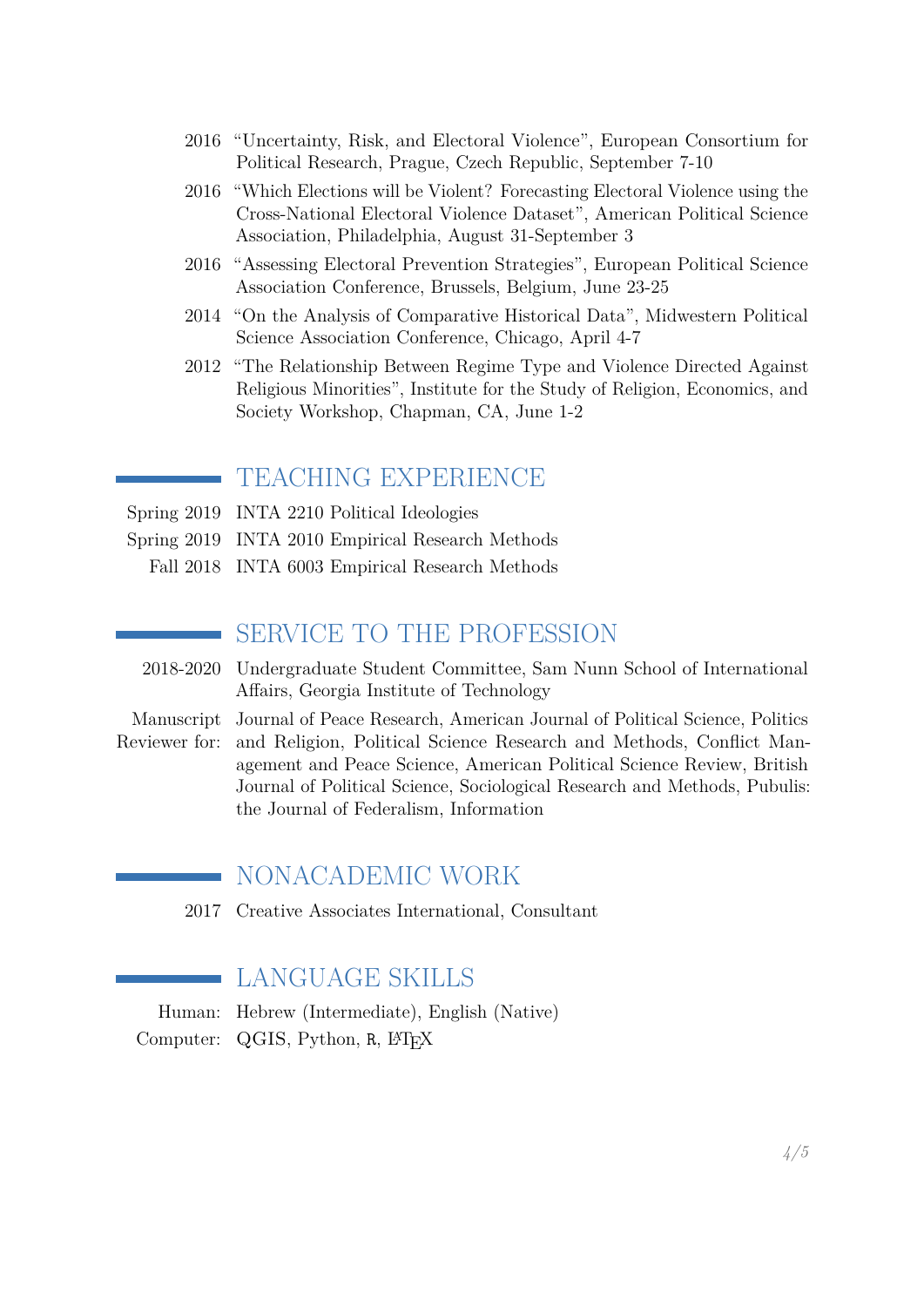- 2016 "Uncertainty, Risk, and Electoral Violence", European Consortium for Political Research, Prague, Czech Republic, September 7-10
- 2016 "Which Elections will be Violent? Forecasting Electoral Violence using the Cross-National Electoral Violence Dataset", American Political Science Association, Philadelphia, August 31-September 3
- 2016 "Assessing Electoral Prevention Strategies", European Political Science Association Conference, Brussels, Belgium, June 23-25
- 2014 "On the Analysis of Comparative Historical Data", Midwestern Political Science Association Conference, Chicago, April 4-7
- 2012 "The Relationship Between Regime Type and Violence Directed Against Religious Minorities", Institute for the Study of Religion, Economics, and Society Workshop, Chapman, CA, June 1-2

## TEACHING EXPERIENCE

- Spring 2019 INTA 2210 Political Ideologies
- Spring 2019 INTA 2010 Empirical Research Methods
	- Fall 2018 INTA 6003 Empirical Research Methods

## SERVICE TO THE PROFESSION

- 2018-2020 Undergraduate Student Committee, Sam Nunn School of International Affairs, Georgia Institute of Technology
- Manuscript Journal of Peace Research, American Journal of Political Science, Politics Reviewer for: and Religion, Political Science Research and Methods, Conflict Management and Peace Science, American Political Science Review, British Journal of Political Science, Sociological Research and Methods, Pubulis: the Journal of Federalism, Information

# NONACADEMIC WORK

2017 Creative Associates International, Consultant

# LANGUAGE SKILLS

<span id="page-3-0"></span>Human: Hebrew (Intermediate), English (Native) Computer: QGIS, Python, R, L<sup>T</sup>FX